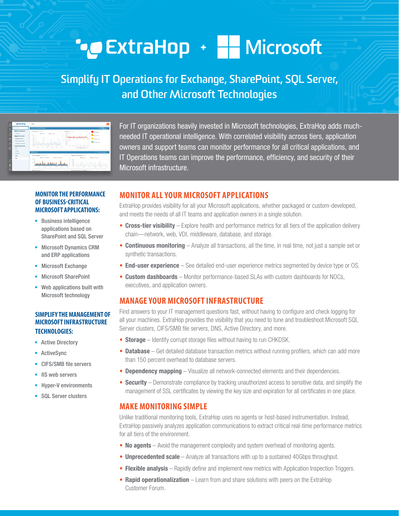# **CEXtraHop + HE Microsoft**

# Simplify IT Operations for Exchange, SharePoint, SQL Server, and Other Microsoft Technologies



For IT organizations heavily invested in Microsoft technologies, ExtraHop adds muchneeded IT operational intelligence. With correlated visibility across tiers, application owners and support teams can monitor performance for all critical applications, and IT Operations teams can improve the performance, efficiency, and security of their Microsoft infrastructure.

#### **MONITOR THE PERFORMANCE** OF BUSINESS-CRITICAL **MICROSOFT APPLICATIONS:**

- Business intelligence applications based on **SharePoint and SQL Server**
- Microsoft Dynamics CRM and ERP applications
- Microsoft Exchange
- **Microsoft SharePoint**
- Web applications built with Microsoft technology

### **SIMPLIFY THE MANAGEMENT OF MICROSOFT INFRASTRUCTURE TECHNOLOGIES:**

- Active Directory
- ActiveSync
- CIFS/SMB file servers
- IS web servers
- Hyper-V environments
- SOL Server clusters

## **MONITOR ALL YOUR MICROSOFT APPLICATIONS**

ExtraHop provides visibility for all your Microsoft applications, whether packaged or custom-developed, and meets the needs of all IT teams and application owners in a single solution.

- Cross-tier visibility Explore health and performance metrics for all tiers of the application delivery chain-network, web, VDI, middleware, database, and storage.
- Continuous monitoring Analyze all transactions, all the time, in real time, not just a sample set or synthetic transactions.
- End-user experience See detailed end-user experience metrics segmented by device type or OS.
- Custom dashboards Monitor performance-based SLAs with custom dashboards for NOCs, executives, and application owners.

# **MANAGE YOUR MICROSOFT INFRASTRUCTURE**

Find answers to your IT management questions fast, without having to configure and check logging for all your machines. ExtraHop provides the visibility that you need to tune and troubleshoot Microsoft SQL Server clusters, CIFS/SMB file servers, DNS, Active Directory, and more.

- Storage Identify corrupt storage files without having to run CHKDSK.
- Database Get detailed database transaction metrics without running profilers, which can add more than 150 percent overhead to database servers.
- Dependency mapping Visualize all network-connected elements and their dependencies.
- Security Demonstrate compliance by tracking unauthorized access to sensitive data, and simplify the management of SSL certificates by viewing the key size and expiration for all certificates in one place.

# **MAKE MONITORING SIMPLE**

Unlike traditional monitoring tools, ExtraHop uses no agents or host-based instrumentation. Instead, ExtraHop passively analyzes application communications to extract critical real-time performance metrics for all tiers of the environment.

- No agents Avoid the management complexity and system overhead of monitoring agents.
- **Unprecedented scale** Analyze all transactions with up to a sustained 40Gbps throughput.
- Flexible analysis Rapidly define and implement new metrics with Application Inspection Triggers.
- Rapid operationalization Learn from and share solutions with peers on the ExtraHop Customer Forum.